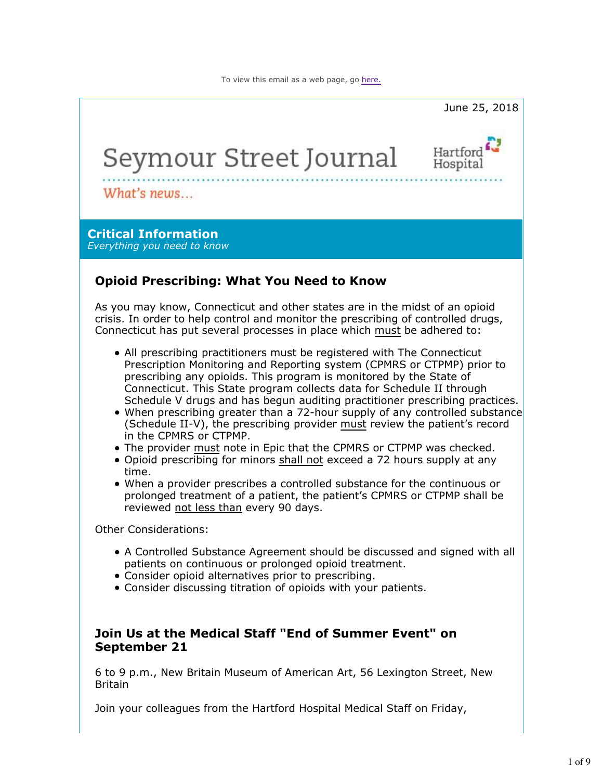

Join your colleagues from the Hartford Hospital Medical Staff on Friday,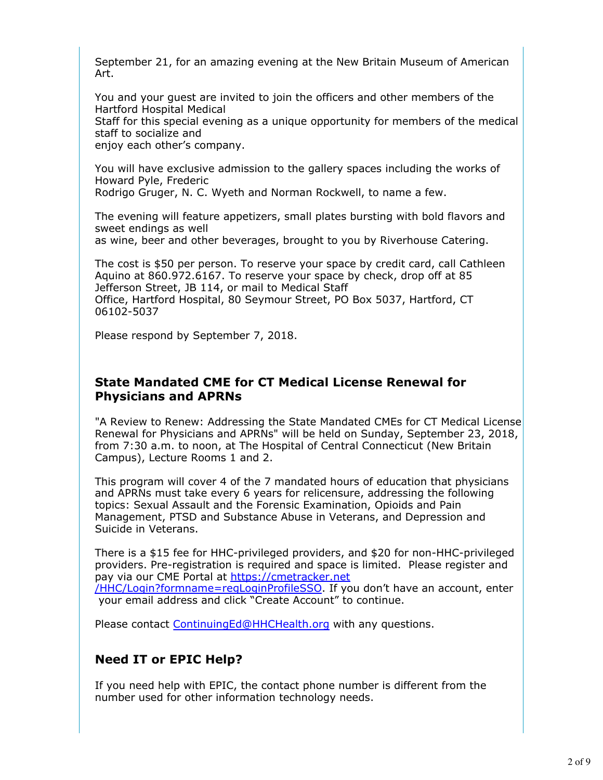September 21, for an amazing evening at the New Britain Museum of American Art.

You and your guest are invited to join the officers and other members of the Hartford Hospital Medical

Staff for this special evening as a unique opportunity for members of the medical staff to socialize and

enjoy each other's company.

You will have exclusive admission to the gallery spaces including the works of Howard Pyle, Frederic

Rodrigo Gruger, N. C. Wyeth and Norman Rockwell, to name a few.

The evening will feature appetizers, small plates bursting with bold flavors and sweet endings as well

as wine, beer and other beverages, brought to you by Riverhouse Catering.

The cost is \$50 per person. To reserve your space by credit card, call Cathleen Aquino at 860.972.6167. To reserve your space by check, drop off at 85 Jefferson Street, JB 114, or mail to Medical Staff Office, Hartford Hospital, 80 Seymour Street, PO Box 5037, Hartford, CT 06102-5037

Please respond by September 7, 2018.

### **State Mandated CME for CT Medical License Renewal for Physicians and APRNs**

"A Review to Renew: Addressing the State Mandated CMEs for CT Medical License Renewal for Physicians and APRNs" will be held on Sunday, September 23, 2018, from 7:30 a.m. to noon, at The Hospital of Central Connecticut (New Britain Campus), Lecture Rooms 1 and 2.

This program will cover 4 of the 7 mandated hours of education that physicians and APRNs must take every 6 years for relicensure, addressing the following topics: Sexual Assault and the Forensic Examination, Opioids and Pain Management, PTSD and Substance Abuse in Veterans, and Depression and Suicide in Veterans.

There is a \$15 fee for HHC-privileged providers, and \$20 for non-HHC-privileged providers. Pre-registration is required and space is limited. Please register and pay via our CME Portal at https://cmetracker.net /HHC/Login?formname=regLoginProfileSSO. If you don't have an account, enter your email address and click "Create Account" to continue.

Please contact ContinuingEd@HHCHealth.org with any questions.

# **Need IT or EPIC Help?**

If you need help with EPIC, the contact phone number is different from the number used for other information technology needs.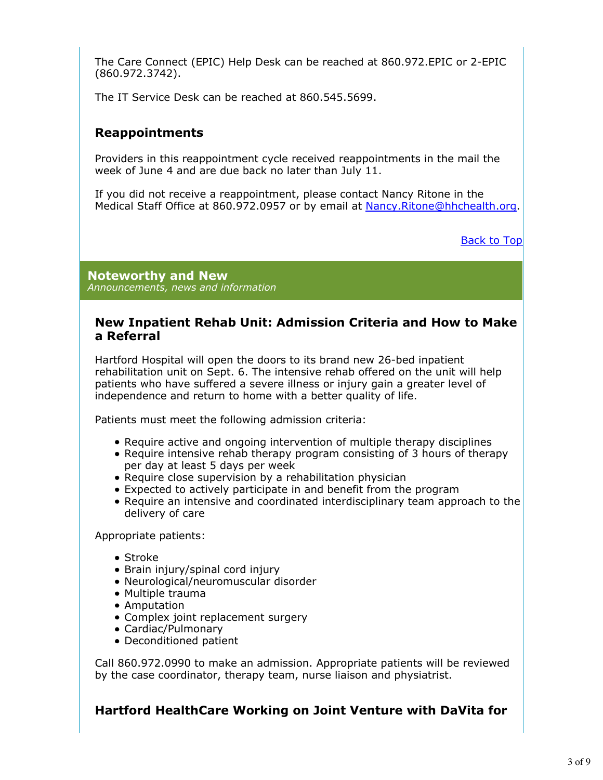The Care Connect (EPIC) Help Desk can be reached at 860.972.EPIC or 2-EPIC (860.972.3742).

The IT Service Desk can be reached at 860.545.5699.

## **Reappointments**

Providers in this reappointment cycle received reappointments in the mail the week of June 4 and are due back no later than July 11.

If you did not receive a reappointment, please contact Nancy Ritone in the Medical Staff Office at 860.972.0957 or by email at Nancy.Ritone@hhchealth.org.

Back to Top

**Noteworthy and New** *Announcements, news and information*

### **New Inpatient Rehab Unit: Admission Criteria and How to Make a Referral**

Hartford Hospital will open the doors to its brand new 26-bed inpatient rehabilitation unit on Sept. 6. The intensive rehab offered on the unit will help patients who have suffered a severe illness or injury gain a greater level of independence and return to home with a better quality of life.

Patients must meet the following admission criteria:

- Require active and ongoing intervention of multiple therapy disciplines
- Require intensive rehab therapy program consisting of 3 hours of therapy per day at least 5 days per week
- Require close supervision by a rehabilitation physician
- Expected to actively participate in and benefit from the program
- Require an intensive and coordinated interdisciplinary team approach to the delivery of care

Appropriate patients:

- Stroke
- Brain injury/spinal cord injury
- Neurological/neuromuscular disorder
- Multiple trauma
- Amputation
- Complex joint replacement surgery
- Cardiac/Pulmonary
- Deconditioned patient

Call 860.972.0990 to make an admission. Appropriate patients will be reviewed by the case coordinator, therapy team, nurse liaison and physiatrist.

## **Hartford HealthCare Working on Joint Venture with DaVita for**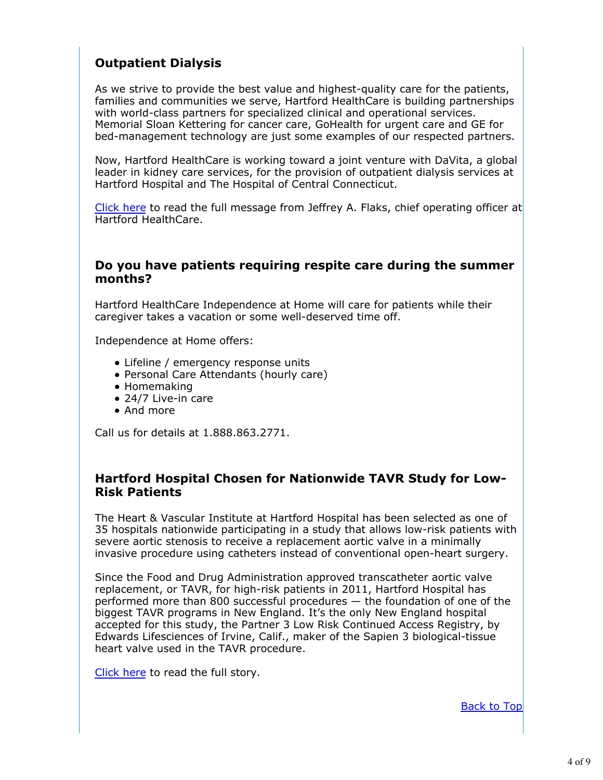# **Outpatient Dialysis**

As we strive to provide the best value and highest-quality care for the patients, families and communities we serve, Hartford HealthCare is building partnerships with world-class partners for specialized clinical and operational services. Memorial Sloan Kettering for cancer care, GoHealth for urgent care and GE for bed-management technology are just some examples of our respected partners.

Now, Hartford HealthCare is working toward a joint venture with DaVita, a global leader in kidney care services, for the provision of outpatient dialysis services at Hartford Hospital and The Hospital of Central Connecticut.

Click here to read the full message from Jeffrey A. Flaks, chief operating officer at Hartford HealthCare.

### **Do you have patients requiring respite care during the summer months?**

Hartford HealthCare Independence at Home will care for patients while their caregiver takes a vacation or some well-deserved time off.

Independence at Home offers:

- Lifeline / emergency response units
- Personal Care Attendants (hourly care)
- Homemaking
- 24/7 Live-in care
- And more

Call us for details at 1.888.863.2771.

### **Hartford Hospital Chosen for Nationwide TAVR Study for Low-Risk Patients**

The Heart & Vascular Institute at Hartford Hospital has been selected as one of 35 hospitals nationwide participating in a study that allows low-risk patients with severe aortic stenosis to receive a replacement aortic valve in a minimally invasive procedure using catheters instead of conventional open-heart surgery.

Since the Food and Drug Administration approved transcatheter aortic valve replacement, or TAVR, for high-risk patients in 2011, Hartford Hospital has performed more than 800 successful procedures — the foundation of one of the biggest TAVR programs in New England. It's the only New England hospital accepted for this study, the Partner 3 Low Risk Continued Access Registry, by Edwards Lifesciences of Irvine, Calif., maker of the Sapien 3 biological-tissue heart valve used in the TAVR procedure.

Click here to read the full story.

Back to Top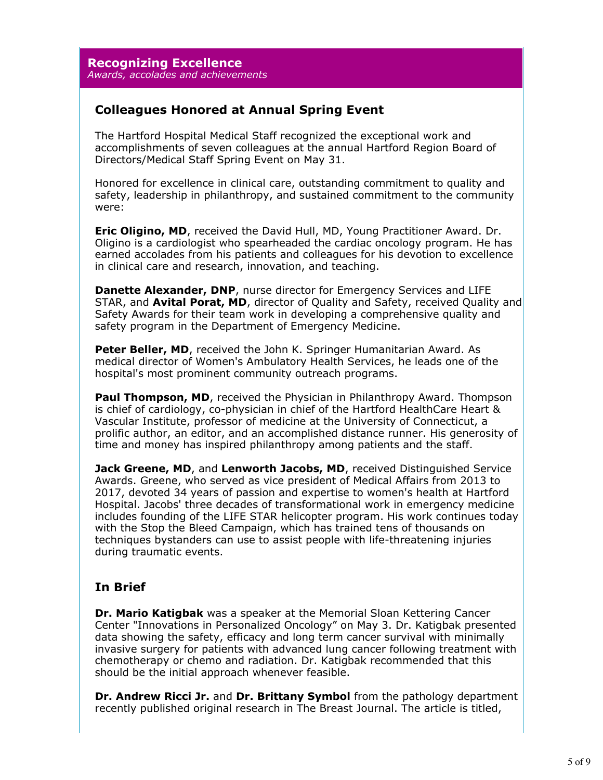**Recognizing Excellence** *Awards, accolades and achievements*

## **Colleagues Honored at Annual Spring Event**

The Hartford Hospital Medical Staff recognized the exceptional work and accomplishments of seven colleagues at the annual Hartford Region Board of Directors/Medical Staff Spring Event on May 31.

Honored for excellence in clinical care, outstanding commitment to quality and safety, leadership in philanthropy, and sustained commitment to the community were:

**Eric Oligino, MD**, received the David Hull, MD, Young Practitioner Award. Dr. Oligino is a cardiologist who spearheaded the cardiac oncology program. He has earned accolades from his patients and colleagues for his devotion to excellence in clinical care and research, innovation, and teaching.

**Danette Alexander, DNP**, nurse director for Emergency Services and LIFE STAR, and **Avital Porat, MD**, director of Quality and Safety, received Quality and Safety Awards for their team work in developing a comprehensive quality and safety program in the Department of Emergency Medicine.

**Peter Beller, MD**, received the John K. Springer Humanitarian Award. As medical director of Women's Ambulatory Health Services, he leads one of the hospital's most prominent community outreach programs.

Paul Thompson, MD, received the Physician in Philanthropy Award. Thompson is chief of cardiology, co-physician in chief of the Hartford HealthCare Heart & Vascular Institute, professor of medicine at the University of Connecticut, a prolific author, an editor, and an accomplished distance runner. His generosity of time and money has inspired philanthropy among patients and the staff.

**Jack Greene, MD**, and **Lenworth Jacobs, MD**, received Distinguished Service Awards. Greene, who served as vice president of Medical Affairs from 2013 to 2017, devoted 34 years of passion and expertise to women's health at Hartford Hospital. Jacobs' three decades of transformational work in emergency medicine includes founding of the LIFE STAR helicopter program. His work continues today with the Stop the Bleed Campaign, which has trained tens of thousands on techniques bystanders can use to assist people with life-threatening injuries during traumatic events.

## **In Brief**

**Dr. Mario Katigbak** was a speaker at the Memorial Sloan Kettering Cancer Center "Innovations in Personalized Oncology" on May 3. Dr. Katigbak presented data showing the safety, efficacy and long term cancer survival with minimally invasive surgery for patients with advanced lung cancer following treatment with chemotherapy or chemo and radiation. Dr. Katigbak recommended that this should be the initial approach whenever feasible.

**Dr. Andrew Ricci Jr.** and **Dr. Brittany Symbol** from the pathology department recently published original research in The Breast Journal. The article is titled,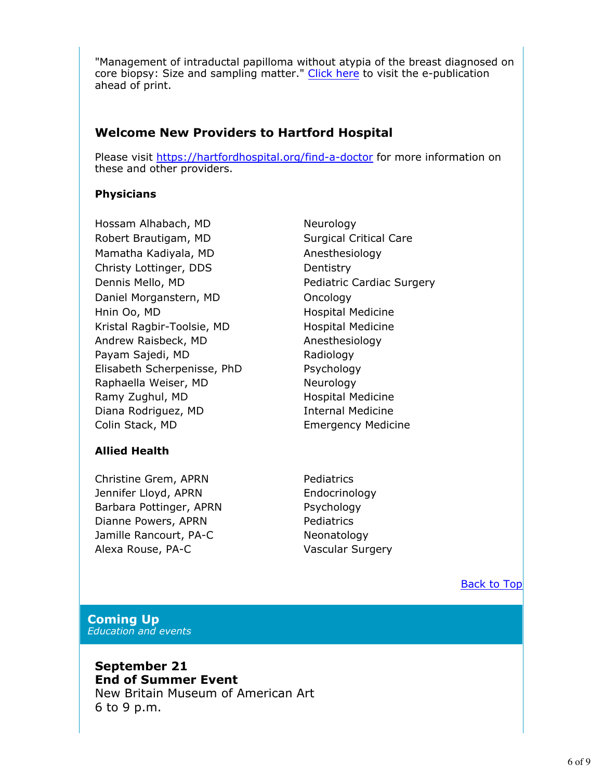"Management of intraductal papilloma without atypia of the breast diagnosed on core biopsy: Size and sampling matter." Click here to visit the e-publication ahead of print.

## **Welcome New Providers to Hartford Hospital**

Please visit https://hartfordhospital.org/find-a-doctor for more information on these and other providers.

### **Physicians**

Hossam Alhabach, MD Neurology Robert Brautigam, MD Surgical Critical Care Mamatha Kadiyala, MD Anesthesiology Christy Lottinger, DDS Dentistry Dennis Mello, MD Pediatric Cardiac Surgery Daniel Morganstern, MD Oncology Hnin Oo, MD **Hospital Medicine** Kristal Ragbir-Toolsie, MD Hospital Medicine Andrew Raisbeck, MD Anesthesiology Payam Sajedi, MD Radiology Elisabeth Scherpenisse, PhD Psychology Raphaella Weiser, MD Neurology Ramy Zughul, MD Hospital Medicine Diana Rodriguez, MD **Internal Medicine** Colin Stack, MD Emergency Medicine

### **Allied Health**

Christine Grem, APRN Pediatrics Jennifer Lloyd, APRN Endocrinology Barbara Pottinger, APRN Psychology Dianne Powers, APRN Pediatrics Jamille Rancourt, PA-C Neonatology Alexa Rouse, PA-C Vascular Surgery

Back to Top

#### **Coming Up** *Education and events*

**September 21 End of Summer Event** New Britain Museum of American Art 6 to 9 p.m.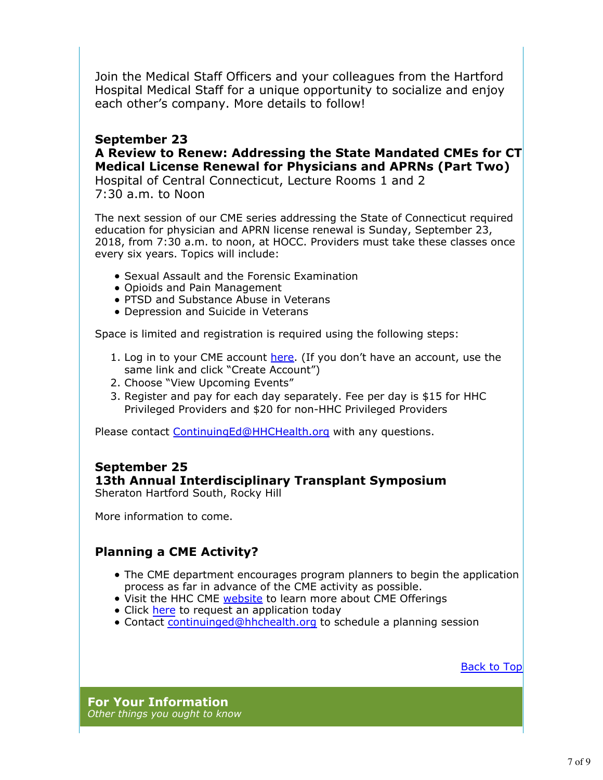Join the Medical Staff Officers and your colleagues from the Hartford Hospital Medical Staff for a unique opportunity to socialize and enjoy each other's company. More details to follow!

### **September 23 A Review to Renew: Addressing the State Mandated CMEs for CT Medical License Renewal for Physicians and APRNs (Part Two)**

Hospital of Central Connecticut, Lecture Rooms 1 and 2 7:30 a.m. to Noon

The next session of our CME series addressing the State of Connecticut required education for physician and APRN license renewal is Sunday, September 23, 2018, from 7:30 a.m. to noon, at HOCC. Providers must take these classes once every six years. Topics will include:

- **Sexual Assault and the Forensic Examination**
- Opioids and Pain Management
- PTSD and Substance Abuse in Veterans
- Depression and Suicide in Veterans

Space is limited and registration is required using the following steps:

- 1. Log in to your CME account **here.** (If you don't have an account, use the same link and click "Create Account")
- 2. Choose "View Upcoming Events"
- 3. Register and pay for each day separately. Fee per day is \$15 for HHC Privileged Providers and \$20 for non-HHC Privileged Providers

Please contact ContinuingEd@HHCHealth.org with any questions.

#### **September 25 13th Annual Interdisciplinary Transplant Symposium** Sheraton Hartford South, Rocky Hill

More information to come.

# **Planning a CME Activity?**

- The CME department encourages program planners to begin the application process as far in advance of the CME activity as possible.
- Visit the HHC CME website to learn more about CME Offerings
- Click here to request an application today
- Contact continuinged@hhchealth.org to schedule a planning session

Back to Top

**For Your Information** *Other things you ought to know*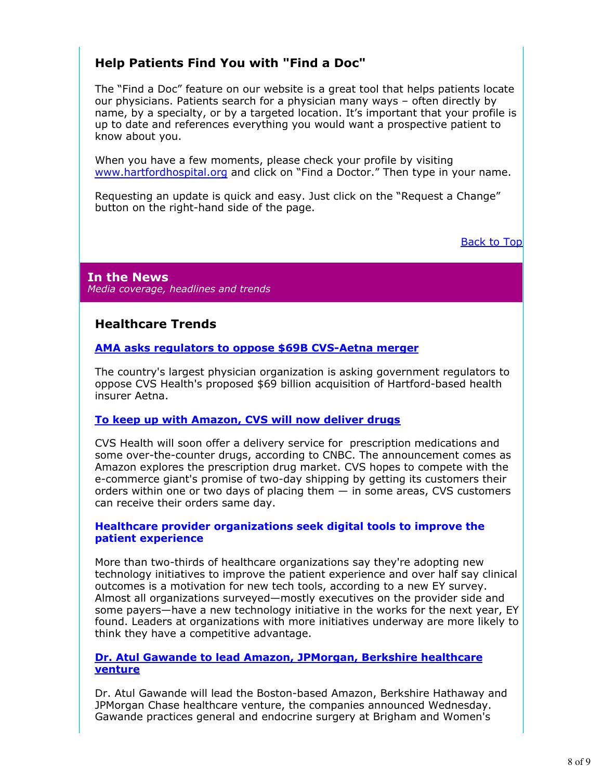# **Help Patients Find You with "Find a Doc"**

The "Find a Doc" feature on our website is a great tool that helps patients locate our physicians. Patients search for a physician many ways – often directly by name, by a specialty, or by a targeted location. It's important that your profile is up to date and references everything you would want a prospective patient to know about you.

When you have a few moments, please check your profile by visiting www.hartfordhospital.org and click on "Find a Doctor." Then type in your name.

Requesting an update is quick and easy. Just click on the "Request a Change" button on the right-hand side of the page.

Back to Top

**In the News** *Media coverage, headlines and trends*

## **Healthcare Trends**

#### **AMA asks regulators to oppose \$69B CVS-Aetna merger**

The country's largest physician organization is asking government regulators to oppose CVS Health's proposed \$69 billion acquisition of Hartford-based health insurer Aetna.

#### **To keep up with Amazon, CVS will now deliver drugs**

CVS Health will soon offer a delivery service for prescription medications and some over-the-counter drugs, according to CNBC. The announcement comes as Amazon explores the prescription drug market. CVS hopes to compete with the e-commerce giant's promise of two-day shipping by getting its customers their orders within one or two days of placing them — in some areas, CVS customers can receive their orders same day.

#### **Healthcare provider organizations seek digital tools to improve the patient experience**

More than two-thirds of healthcare organizations say they're adopting new technology initiatives to improve the patient experience and over half say clinical outcomes is a motivation for new tech tools, according to a new EY survey. Almost all organizations surveyed—mostly executives on the provider side and some payers—have a new technology initiative in the works for the next year, EY found. Leaders at organizations with more initiatives underway are more likely to think they have a competitive advantage.

#### **Dr. Atul Gawande to lead Amazon, JPMorgan, Berkshire healthcare venture**

Dr. Atul Gawande will lead the Boston-based Amazon, Berkshire Hathaway and JPMorgan Chase healthcare venture, the companies announced Wednesday. Gawande practices general and endocrine surgery at Brigham and Women's